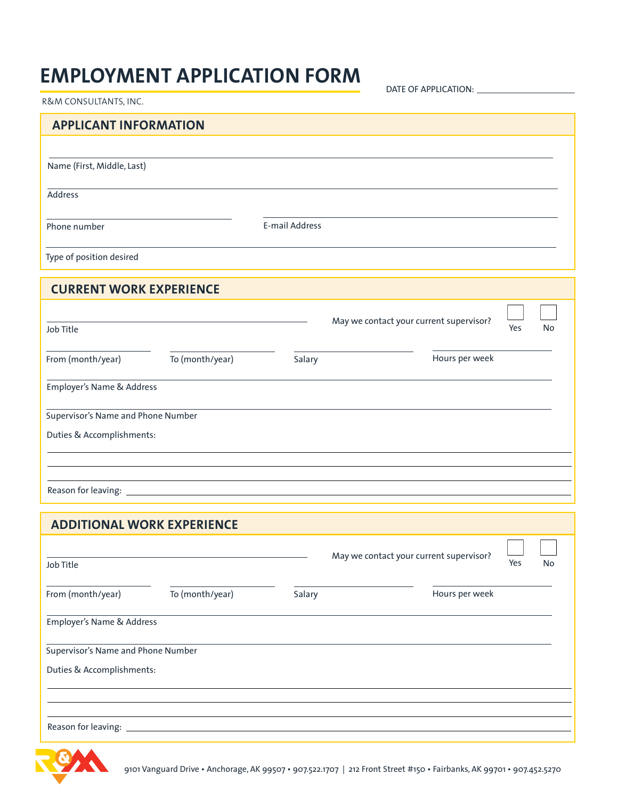## **EMPLOYMENT APPLICATION FORM**

DATE OF APPLICATION:

| R&M CONSULTANTS, INC.              |                 |                |                                         |          |    |
|------------------------------------|-----------------|----------------|-----------------------------------------|----------|----|
| <b>APPLICANT INFORMATION</b>       |                 |                |                                         |          |    |
|                                    |                 |                |                                         |          |    |
| Name (First, Middle, Last)         |                 |                |                                         |          |    |
| <b>Address</b>                     |                 |                |                                         |          |    |
| Phone number                       |                 | E-mail Address |                                         |          |    |
|                                    |                 |                |                                         |          |    |
| Type of position desired           |                 |                |                                         |          |    |
| <b>CURRENT WORK EXPERIENCE</b>     |                 |                |                                         |          |    |
|                                    |                 |                |                                         |          |    |
| Job Title                          |                 |                | May we contact your current supervisor? |          | No |
| From (month/year)                  | To (month/year) | Salary         | Hours per week                          |          |    |
| Employer's Name & Address          |                 |                |                                         |          |    |
|                                    |                 |                |                                         |          |    |
| Supervisor's Name and Phone Number |                 |                |                                         |          |    |
| Duties & Accomplishments:          |                 |                |                                         |          |    |
|                                    |                 |                |                                         |          |    |
|                                    |                 |                |                                         |          |    |
|                                    |                 |                |                                         |          |    |
| <b>ADDITIONAL WORK EXPERIENCE</b>  |                 |                |                                         |          |    |
|                                    |                 |                | May we contact your current supervisor? | $\sim$ 1 |    |
| Job Title                          |                 |                |                                         | Yes      | No |
| From (month/year)                  | To (month/year) | Salary         | Hours per week                          |          |    |
| Employer's Name & Address          |                 |                |                                         |          |    |
| Supervisor's Name and Phone Number |                 |                |                                         |          |    |
| Duties & Accomplishments:          |                 |                |                                         |          |    |
|                                    |                 |                |                                         |          |    |
|                                    |                 |                |                                         |          |    |
| Reason for leaving:                |                 |                |                                         |          |    |

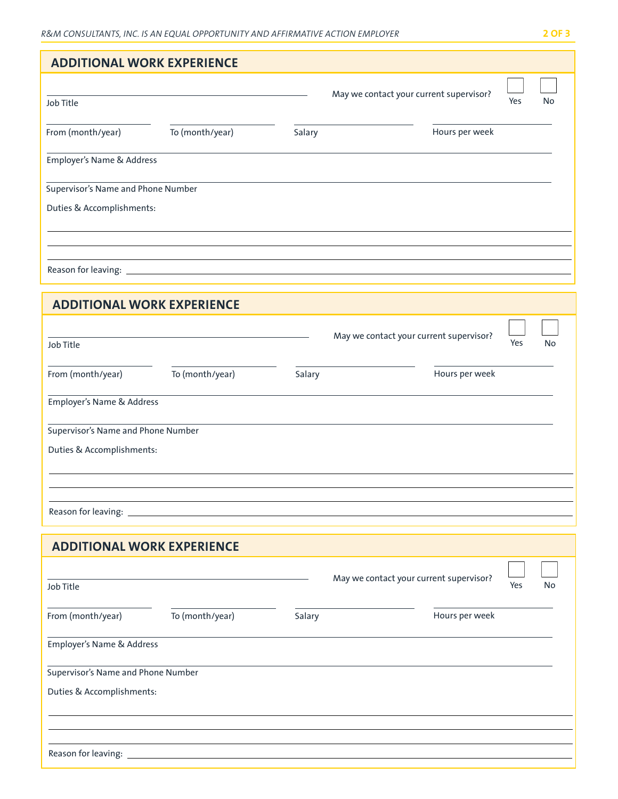| <b>ADDITIONAL WORK EXPERIENCE</b>  |                 |        |                                         |     |    |
|------------------------------------|-----------------|--------|-----------------------------------------|-----|----|
|                                    |                 |        | May we contact your current supervisor? |     |    |
| Job Title                          |                 |        |                                         | Yes | No |
| From (month/year)                  | To (month/year) | Salary | Hours per week                          |     |    |
| Employer's Name & Address          |                 |        |                                         |     |    |
| Supervisor's Name and Phone Number |                 |        |                                         |     |    |
| Duties & Accomplishments:          |                 |        |                                         |     |    |
|                                    |                 |        |                                         |     |    |
|                                    |                 |        |                                         |     |    |
| <b>ADDITIONAL WORK EXPERIENCE</b>  |                 |        |                                         |     |    |
|                                    |                 |        |                                         |     |    |
| Job Title                          |                 |        | May we contact your current supervisor? | Yes | No |
| From (month/year)                  | To (month/year) | Salary | Hours per week                          |     |    |
| Employer's Name & Address          |                 |        |                                         |     |    |
| Supervisor's Name and Phone Number |                 |        |                                         |     |    |
| Duties & Accomplishments:          |                 |        |                                         |     |    |
|                                    |                 |        |                                         |     |    |
|                                    |                 |        |                                         |     |    |
| <b>ADDITIONAL WORK EXPERIENCE</b>  |                 |        |                                         |     |    |
|                                    |                 |        |                                         |     |    |
| Job Title                          |                 |        | May we contact your current supervisor? | Yes | No |
| From (month/year)                  | To (month/year) | Salary | Hours per week                          |     |    |
| Employer's Name & Address          |                 |        |                                         |     |    |
| Supervisor's Name and Phone Number |                 |        |                                         |     |    |
| Duties & Accomplishments:          |                 |        |                                         |     |    |
|                                    |                 |        |                                         |     |    |
| Reason for leaving:                |                 |        |                                         |     |    |